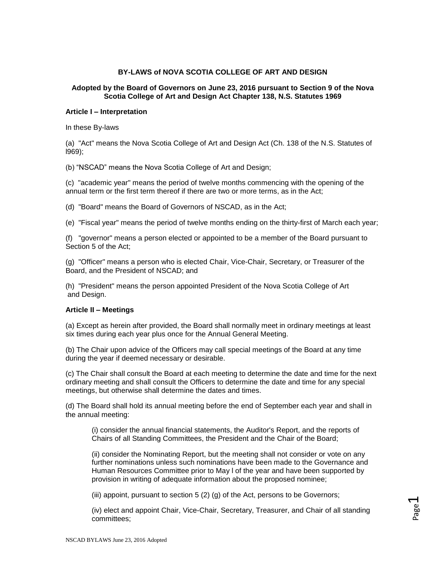# **BY-LAWS of NOVA SCOTIA COLLEGE OF ART AND DESIGN**

# **Adopted by the Board of Governors on June 23, 2016 pursuant to Section 9 of the Nova Scotia College of Art and Design Act Chapter 138, N.S. Statutes 1969**

### **Article I – Interpretation**

In these By-laws

(a) "Act" means the Nova Scotia College of Art and Design Act (Ch. 138 of the N.S. Statutes of l969);

(b) "NSCAD" means the Nova Scotia College of Art and Design;

(c) "academic year" means the period of twelve months commencing with the opening of the annual term or the first term thereof if there are two or more terms, as in the Act;

(d) "Board" means the Board of Governors of NSCAD, as in the Act;

(e) "Fiscal year" means the period of twelve months ending on the thirty-first of March each year;

(f) "governor" means a person elected or appointed to be a member of the Board pursuant to Section 5 of the Act;

(g) "Officer" means a person who is elected Chair, Vice-Chair, Secretary, or Treasurer of the Board, and the President of NSCAD; and

(h) "President" means the person appointed President of the Nova Scotia College of Art and Design.

### **Article II – Meetings**

(a) Except as herein after provided, the Board shall normally meet in ordinary meetings at least six times during each year plus once for the Annual General Meeting.

(b) The Chair upon advice of the Officers may call special meetings of the Board at any time during the year if deemed necessary or desirable.

(c) The Chair shall consult the Board at each meeting to determine the date and time for the next ordinary meeting and shall consult the Officers to determine the date and time for any special meetings, but otherwise shall determine the dates and times.

(d) The Board shall hold its annual meeting before the end of September each year and shall in the annual meeting:

(i) consider the annual financial statements, the Auditor's Report, and the reports of Chairs of all Standing Committees, the President and the Chair of the Board;

(ii) consider the Nominating Report, but the meeting shall not consider or vote on any further nominations unless such nominations have been made to the Governance and Human Resources Committee prior to May l of the year and have been supported by provision in writing of adequate information about the proposed nominee;

(iii) appoint, pursuant to section 5 (2) (g) of the Act, persons to be Governors;

(iv) elect and appoint Chair, Vice-Chair, Secretary, Treasurer, and Chair of all standing committees;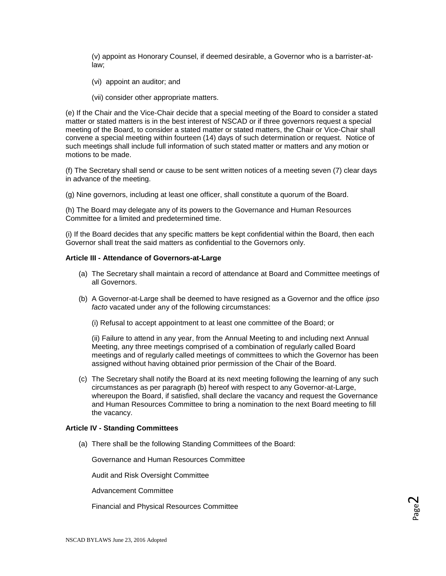(v) appoint as Honorary Counsel, if deemed desirable, a Governor who is a barrister-atlaw;

- (vi) appoint an auditor; and
- (vii) consider other appropriate matters.

(e) If the Chair and the Vice-Chair decide that a special meeting of the Board to consider a stated matter or stated matters is in the best interest of NSCAD or if three governors request a special meeting of the Board, to consider a stated matter or stated matters, the Chair or Vice-Chair shall convene a special meeting within fourteen (14) days of such determination or request. Notice of such meetings shall include full information of such stated matter or matters and any motion or motions to be made.

(f) The Secretary shall send or cause to be sent written notices of a meeting seven (7) clear days in advance of the meeting.

(g) Nine governors, including at least one officer, shall constitute a quorum of the Board.

(h) The Board may delegate any of its powers to the Governance and Human Resources Committee for a limited and predetermined time.

(i) If the Board decides that any specific matters be kept confidential within the Board, then each Governor shall treat the said matters as confidential to the Governors only.

#### **Article III - Attendance of Governors-at-Large**

- (a) The Secretary shall maintain a record of attendance at Board and Committee meetings of all Governors.
- (b) A Governor-at-Large shall be deemed to have resigned as a Governor and the office *ipso facto* vacated under any of the following circumstances:

(i) Refusal to accept appointment to at least one committee of the Board; or

(ii) Failure to attend in any year, from the Annual Meeting to and including next Annual Meeting, any three meetings comprised of a combination of regularly called Board meetings and of regularly called meetings of committees to which the Governor has been assigned without having obtained prior permission of the Chair of the Board.

(c) The Secretary shall notify the Board at its next meeting following the learning of any such circumstances as per paragraph (b) hereof with respect to any Governor-at-Large, whereupon the Board, if satisfied, shall declare the vacancy and request the Governance and Human Resources Committee to bring a nomination to the next Board meeting to fill the vacancy.

### **Article IV - Standing Committees**

(a) There shall be the following Standing Committees of the Board:

Governance and Human Resources Committee

Audit and Risk Oversight Committee

Advancement Committee

Financial and Physical Resources Committee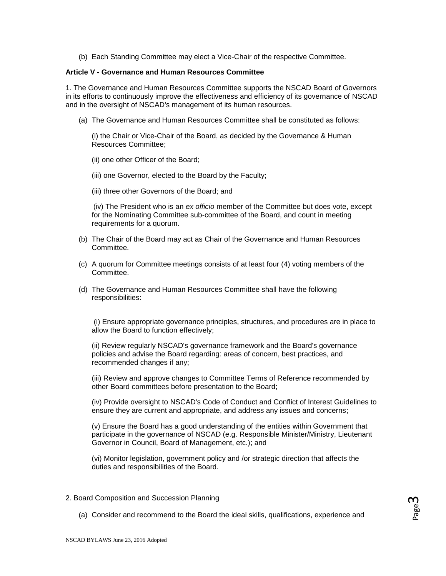(b) Each Standing Committee may elect a Vice-Chair of the respective Committee.

## **Article V - Governance and Human Resources Committee**

1. The Governance and Human Resources Committee supports the NSCAD Board of Governors in its efforts to continuously improve the effectiveness and efficiency of its governance of NSCAD and in the oversight of NSCAD's management of its human resources.

(a) The Governance and Human Resources Committee shall be constituted as follows:

(i) the Chair or Vice-Chair of the Board, as decided by the Governance & Human Resources Committee;

- (ii) one other Officer of the Board;
- (iii) one Governor, elected to the Board by the Faculty;
- (iii) three other Governors of the Board; and

(iv) The President who is an *ex officio* member of the Committee but does vote, except for the Nominating Committee sub-committee of the Board, and count in meeting requirements for a quorum.

- (b) The Chair of the Board may act as Chair of the Governance and Human Resources Committee.
- (c) A quorum for Committee meetings consists of at least four (4) voting members of the Committee.
- (d) The Governance and Human Resources Committee shall have the following responsibilities:

(i) Ensure appropriate governance principles, structures, and procedures are in place to allow the Board to function effectively;

(ii) Review regularly NSCAD's governance framework and the Board's governance policies and advise the Board regarding: areas of concern, best practices, and recommended changes if any;

(iii) Review and approve changes to Committee Terms of Reference recommended by other Board committees before presentation to the Board;

(iv) Provide oversight to NSCAD's Code of Conduct and Conflict of Interest Guidelines to ensure they are current and appropriate, and address any issues and concerns;

(v) Ensure the Board has a good understanding of the entities within Government that participate in the governance of NSCAD (e.g. Responsible Minister/Ministry, Lieutenant Governor in Council, Board of Management, etc.); and

(vi) Monitor legislation, government policy and /or strategic direction that affects the duties and responsibilities of the Board.

- 2. Board Composition and Succession Planning
	- (a) Consider and recommend to the Board the ideal skills, qualifications, experience and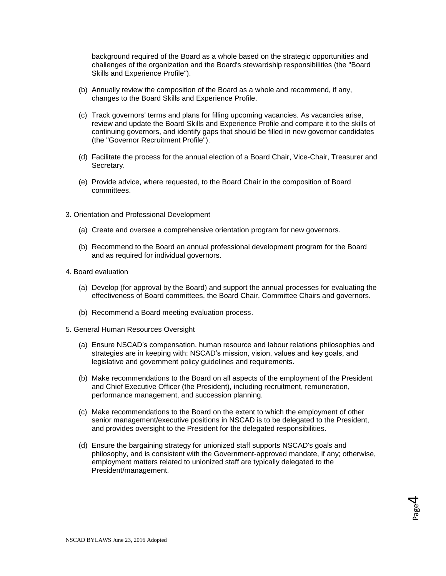background required of the Board as a whole based on the strategic opportunities and challenges of the organization and the Board's stewardship responsibilities (the "Board Skills and Experience Profile").

- (b) Annually review the composition of the Board as a whole and recommend, if any, changes to the Board Skills and Experience Profile.
- (c) Track governors' terms and plans for filling upcoming vacancies. As vacancies arise, review and update the Board Skills and Experience Profile and compare it to the skills of continuing governors, and identify gaps that should be filled in new governor candidates (the "Governor Recruitment Profile").
- (d) Facilitate the process for the annual election of a Board Chair, Vice-Chair, Treasurer and Secretary.
- (e) Provide advice, where requested, to the Board Chair in the composition of Board committees.
- 3. Orientation and Professional Development
	- (a) Create and oversee a comprehensive orientation program for new governors.
	- (b) Recommend to the Board an annual professional development program for the Board and as required for individual governors.
- 4. Board evaluation
	- (a) Develop (for approval by the Board) and support the annual processes for evaluating the effectiveness of Board committees, the Board Chair, Committee Chairs and governors.
	- (b) Recommend a Board meeting evaluation process.
- 5. General Human Resources Oversight
	- (a) Ensure NSCAD's compensation, human resource and labour relations philosophies and strategies are in keeping with: NSCAD's mission, vision, values and key goals, and legislative and government policy guidelines and requirements.
	- (b) Make recommendations to the Board on all aspects of the employment of the President and Chief Executive Officer (the President), including recruitment, remuneration, performance management, and succession planning.
	- (c) Make recommendations to the Board on the extent to which the employment of other senior management/executive positions in NSCAD is to be delegated to the President, and provides oversight to the President for the delegated responsibilities.
	- (d) Ensure the bargaining strategy for unionized staff supports NSCAD's goals and philosophy, and is consistent with the Government-approved mandate, if any; otherwise, employment matters related to unionized staff are typically delegated to the President/management.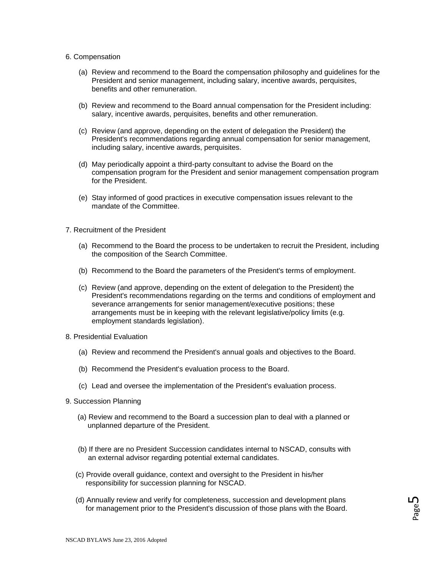#### 6. Compensation

- (a) Review and recommend to the Board the compensation philosophy and guidelines for the President and senior management, including salary, incentive awards, perquisites, benefits and other remuneration.
- (b) Review and recommend to the Board annual compensation for the President including: salary, incentive awards, perquisites, benefits and other remuneration.
- (c) Review (and approve, depending on the extent of delegation the President) the President's recommendations regarding annual compensation for senior management, including salary, incentive awards, perquisites.
- (d) May periodically appoint a third-party consultant to advise the Board on the compensation program for the President and senior management compensation program for the President.
- (e) Stay informed of good practices in executive compensation issues relevant to the mandate of the Committee.
- 7. Recruitment of the President
	- (a) Recommend to the Board the process to be undertaken to recruit the President, including the composition of the Search Committee.
	- (b) Recommend to the Board the parameters of the President's terms of employment.
	- (c) Review (and approve, depending on the extent of delegation to the President) the President's recommendations regarding on the terms and conditions of employment and severance arrangements for senior management/executive positions; these arrangements must be in keeping with the relevant legislative/policy limits (e.g. employment standards legislation).
- 8. Presidential Evaluation
	- (a) Review and recommend the President's annual goals and objectives to the Board.
	- (b) Recommend the President's evaluation process to the Board.
	- (c) Lead and oversee the implementation of the President's evaluation process.
- 9. Succession Planning
	- (a) Review and recommend to the Board a succession plan to deal with a planned or unplanned departure of the President.
	- (b) If there are no President Succession candidates internal to NSCAD, consults with an external advisor regarding potential external candidates.
	- (c) Provide overall guidance, context and oversight to the President in his/her responsibility for succession planning for NSCAD.
	- (d) Annually review and verify for completeness, succession and development plans for management prior to the President's discussion of those plans with the Board.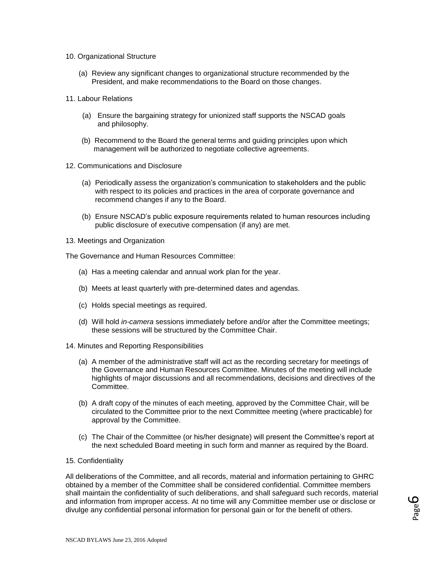- 10. Organizational Structure
	- (a) Review any significant changes to organizational structure recommended by the President, and make recommendations to the Board on those changes.
- 11. Labour Relations
	- (a) Ensure the bargaining strategy for unionized staff supports the NSCAD goals and philosophy.
	- (b) Recommend to the Board the general terms and guiding principles upon which management will be authorized to negotiate collective agreements.
- 12. Communications and Disclosure
	- (a) Periodically assess the organization's communication to stakeholders and the public with respect to its policies and practices in the area of corporate governance and recommend changes if any to the Board.
	- (b) Ensure NSCAD's public exposure requirements related to human resources including public disclosure of executive compensation (if any) are met.
- 13. Meetings and Organization

The Governance and Human Resources Committee:

- (a) Has a meeting calendar and annual work plan for the year.
- (b) Meets at least quarterly with pre-determined dates and agendas.
- (c) Holds special meetings as required.
- (d) Will hold *in-camera* sessions immediately before and/or after the Committee meetings; these sessions will be structured by the Committee Chair.
- 14. Minutes and Reporting Responsibilities
	- (a) A member of the administrative staff will act as the recording secretary for meetings of the Governance and Human Resources Committee. Minutes of the meeting will include highlights of major discussions and all recommendations, decisions and directives of the **Committee.**
	- (b) A draft copy of the minutes of each meeting, approved by the Committee Chair, will be circulated to the Committee prior to the next Committee meeting (where practicable) for approval by the Committee.
	- (c) The Chair of the Committee (or his/her designate) will present the Committee's report at the next scheduled Board meeting in such form and manner as required by the Board.
- 15. Confidentiality

All deliberations of the Committee, and all records, material and information pertaining to GHRC obtained by a member of the Committee shall be considered confidential. Committee members shall maintain the confidentiality of such deliberations, and shall safeguard such records, material and information from improper access. At no time will any Committee member use or disclose or divulge any confidential personal information for personal gain or for the benefit of others.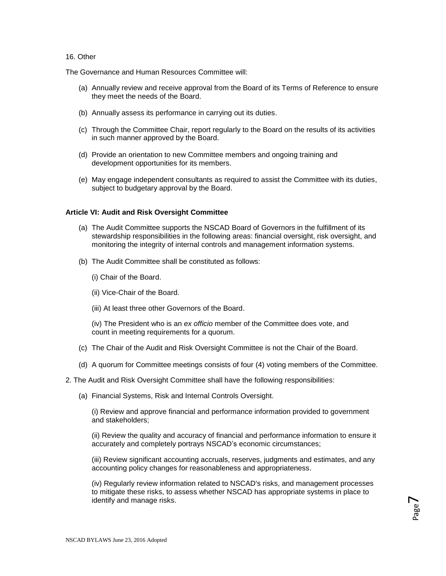### 16. Other

The Governance and Human Resources Committee will:

- (a) Annually review and receive approval from the Board of its Terms of Reference to ensure they meet the needs of the Board.
- (b) Annually assess its performance in carrying out its duties.
- (c) Through the Committee Chair, report regularly to the Board on the results of its activities in such manner approved by the Board.
- (d) Provide an orientation to new Committee members and ongoing training and development opportunities for its members.
- (e) May engage independent consultants as required to assist the Committee with its duties, subject to budgetary approval by the Board.

### **Article VI: Audit and Risk Oversight Committee**

- (a) The Audit Committee supports the NSCAD Board of Governors in the fulfillment of its stewardship responsibilities in the following areas: financial oversight, risk oversight, and monitoring the integrity of internal controls and management information systems.
- (b) The Audit Committee shall be constituted as follows:
	- (i) Chair of the Board.
	- (ii) Vice-Chair of the Board.
	- (iii) At least three other Governors of the Board.

(iv) The President who is an *ex officio* member of the Committee does vote, and f count in meeting requirements for a quorum.

- (c) The Chair of the Audit and Risk Oversight Committee is not the Chair of the Board.
- (d) A quorum for Committee meetings consists of four (4) voting members of the Committee.
- 2. The Audit and Risk Oversight Committee shall have the following responsibilities:
	- (a) Financial Systems, Risk and Internal Controls Oversight.

(i) Review and approve financial and performance information provided to government and stakeholders;

(ii) Review the quality and accuracy of financial and performance information to ensure it accurately and completely portrays NSCAD's economic circumstances;

(iii) Review significant accounting accruals, reserves, judgments and estimates, and any accounting policy changes for reasonableness and appropriateness.

(iv) Regularly review information related to NSCAD's risks, and management processes to mitigate these risks, to assess whether NSCAD has appropriate systems in place to identify and manage risks.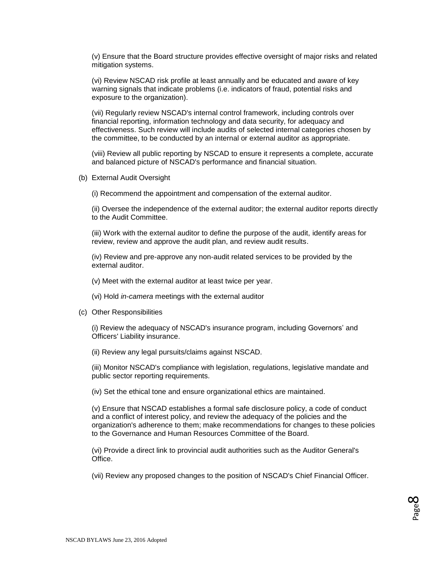(v) Ensure that the Board structure provides effective oversight of major risks and related mitigation systems.

(vi) Review NSCAD risk profile at least annually and be educated and aware of key warning signals that indicate problems (i.e. indicators of fraud, potential risks and exposure to the organization).

(vii) Regularly review NSCAD's internal control framework, including controls over financial reporting, information technology and data security, for adequacy and effectiveness. Such review will include audits of selected internal categories chosen by the committee, to be conducted by an internal or external auditor as appropriate.

(viii) Review all public reporting by NSCAD to ensure it represents a complete, accurate and balanced picture of NSCAD's performance and financial situation.

(b) External Audit Oversight

(i) Recommend the appointment and compensation of the external auditor.

(ii) Oversee the independence of the external auditor; the external auditor reports directly to the Audit Committee.

(iii) Work with the external auditor to define the purpose of the audit, identify areas for review, review and approve the audit plan, and review audit results.

(iv) Review and pre-approve any non-audit related services to be provided by the external auditor.

- (v) Meet with the external auditor at least twice per year.
- (vi) Hold *in-camera* meetings with the external auditor
- (c) Other Responsibilities

(i) Review the adequacy of NSCAD's insurance program, including Governors' and Officers' Liability insurance.

(ii) Review any legal pursuits/claims against NSCAD.

(iii) Monitor NSCAD's compliance with legislation, regulations, legislative mandate and public sector reporting requirements.

(iv) Set the ethical tone and ensure organizational ethics are maintained.

(v) Ensure that NSCAD establishes a formal safe disclosure policy, a code of conduct and a conflict of interest policy, and review the adequacy of the policies and the organization's adherence to them; make recommendations for changes to these policies to the Governance and Human Resources Committee of the Board.

(vi) Provide a direct link to provincial audit authorities such as the Auditor General's Office.

(vii) Review any proposed changes to the position of NSCAD's Chief Financial Officer.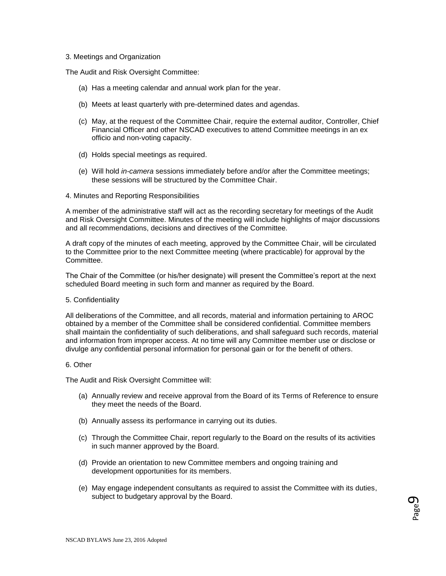### 3. Meetings and Organization

The Audit and Risk Oversight Committee:

- (a) Has a meeting calendar and annual work plan for the year.
- (b) Meets at least quarterly with pre-determined dates and agendas.
- (c) May, at the request of the Committee Chair, require the external auditor, Controller, Chief Financial Officer and other NSCAD executives to attend Committee meetings in an ex officio and non-voting capacity.
- (d) Holds special meetings as required.
- (e) Will hold *in-camera* sessions immediately before and/or after the Committee meetings; these sessions will be structured by the Committee Chair.
- 4. Minutes and Reporting Responsibilities

A member of the administrative staff will act as the recording secretary for meetings of the Audit and Risk Oversight Committee. Minutes of the meeting will include highlights of major discussions and all recommendations, decisions and directives of the Committee.

A draft copy of the minutes of each meeting, approved by the Committee Chair, will be circulated to the Committee prior to the next Committee meeting (where practicable) for approval by the Committee.

The Chair of the Committee (or his/her designate) will present the Committee's report at the next scheduled Board meeting in such form and manner as required by the Board.

#### 5. Confidentiality

All deliberations of the Committee, and all records, material and information pertaining to AROC obtained by a member of the Committee shall be considered confidential. Committee members shall maintain the confidentiality of such deliberations, and shall safeguard such records, material and information from improper access. At no time will any Committee member use or disclose or divulge any confidential personal information for personal gain or for the benefit of others.

#### 6. Other

The Audit and Risk Oversight Committee will:

- (a) Annually review and receive approval from the Board of its Terms of Reference to ensure they meet the needs of the Board.
- (b) Annually assess its performance in carrying out its duties.
- (c) Through the Committee Chair, report regularly to the Board on the results of its activities in such manner approved by the Board.
- (d) Provide an orientation to new Committee members and ongoing training and development opportunities for its members.
- (e) May engage independent consultants as required to assist the Committee with its duties, subject to budgetary approval by the Board.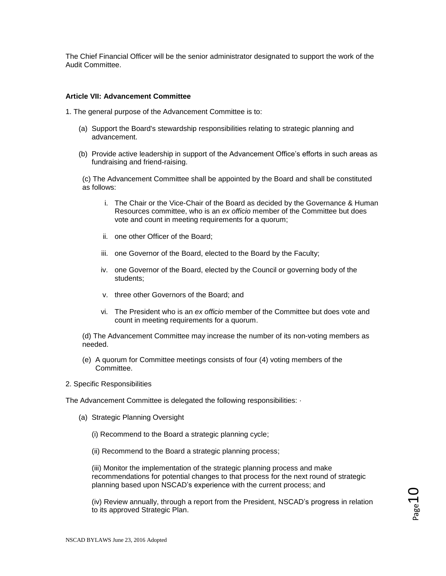The Chief Financial Officer will be the senior administrator designated to support the work of the Audit Committee.

### **Article VII: Advancement Committee**

1. The general purpose of the Advancement Committee is to:

- (a) Support the Board's stewardship responsibilities relating to strategic planning and advancement.
- (b) Provide active leadership in support of the Advancement Office's efforts in such areas as fundraising and friend-raising.

(c) The Advancement Committee shall be appointed by the Board and shall be constituted as follows:

- i. The Chair or the Vice-Chair of the Board as decided by the Governance & Human Resources committee, who is an *ex officio* member of the Committee but does vote and count in meeting requirements for a quorum;
- ii. one other Officer of the Board;
- iii. one Governor of the Board, elected to the Board by the Faculty;
- iv. one Governor of the Board, elected by the Council or governing body of the students;
- v. three other Governors of the Board; and
- vi. The President who is an *ex officio* member of the Committee but does vote and count in meeting requirements for a quorum.

(d) The Advancement Committee may increase the number of its non-voting members as needed.

(e) A quorum for Committee meetings consists of four (4) voting members of the Committee.

#### 2. Specific Responsibilities

The Advancement Committee is delegated the following responsibilities:  $\cdot$ 

(a) Strategic Planning Oversight

(i) Recommend to the Board a strategic planning cycle;

(ii) Recommend to the Board a strategic planning process;

(iii) Monitor the implementation of the strategic planning process and make recommendations for potential changes to that process for the next round of strategic planning based upon NSCAD's experience with the current process; and

(iv) Review annually, through a report from the President, NSCAD's progress in relation to its approved Strategic Plan.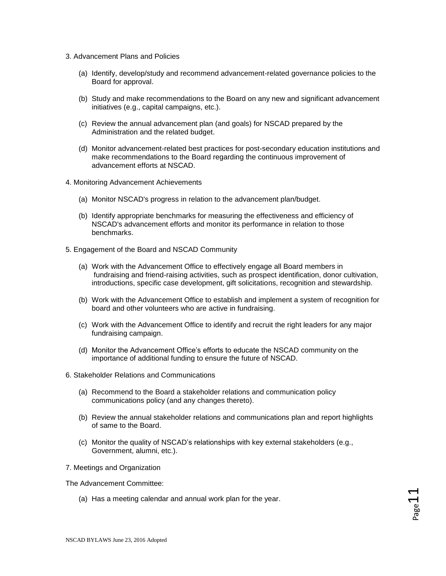- 3. Advancement Plans and Policies
	- (a) Identify, develop/study and recommend advancement-related governance policies to the Board for approval.
	- (b) Study and make recommendations to the Board on any new and significant advancement initiatives (e.g., capital campaigns, etc.).
	- (c) Review the annual advancement plan (and goals) for NSCAD prepared by the Administration and the related budget.
	- (d) Monitor advancement-related best practices for post-secondary education institutions and make recommendations to the Board regarding the continuous improvement of advancement efforts at NSCAD.
- 4. Monitoring Advancement Achievements
	- (a) Monitor NSCAD's progress in relation to the advancement plan/budget.
	- (b) Identify appropriate benchmarks for measuring the effectiveness and efficiency of NSCAD's advancement efforts and monitor its performance in relation to those benchmarks.
- 5. Engagement of the Board and NSCAD Community
	- (a) Work with the Advancement Office to effectively engage all Board members in fundraising and friend-raising activities, such as prospect identification, donor cultivation, introductions, specific case development, gift solicitations, recognition and stewardship.
	- (b) Work with the Advancement Office to establish and implement a system of recognition for board and other volunteers who are active in fundraising.
	- (c) Work with the Advancement Office to identify and recruit the right leaders for any major fundraising campaign.
	- (d) Monitor the Advancement Office's efforts to educate the NSCAD community on the importance of additional funding to ensure the future of NSCAD.
- 6. Stakeholder Relations and Communications
	- (a) Recommend to the Board a stakeholder relations and communication policy communications policy (and any changes thereto).
	- (b) Review the annual stakeholder relations and communications plan and report highlights of same to the Board.
	- (c) Monitor the quality of NSCAD's relationships with key external stakeholders (e.g., Government, alumni, etc.).
- 7. Meetings and Organization

The Advancement Committee:

(a) Has a meeting calendar and annual work plan for the year.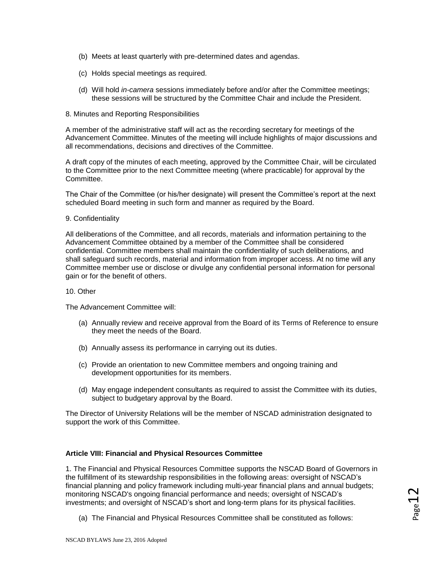- (b) Meets at least quarterly with pre-determined dates and agendas.
- (c) Holds special meetings as required.
- (d) Will hold *in-camera* sessions immediately before and/or after the Committee meetings; these sessions will be structured by the Committee Chair and include the President.
- 8. Minutes and Reporting Responsibilities

A member of the administrative staff will act as the recording secretary for meetings of the Advancement Committee. Minutes of the meeting will include highlights of major discussions and all recommendations, decisions and directives of the Committee.

A draft copy of the minutes of each meeting, approved by the Committee Chair, will be circulated to the Committee prior to the next Committee meeting (where practicable) for approval by the Committee.

The Chair of the Committee (or his/her designate) will present the Committee's report at the next scheduled Board meeting in such form and manner as required by the Board.

### 9. Confidentiality

All deliberations of the Committee, and all records, materials and information pertaining to the Advancement Committee obtained by a member of the Committee shall be considered confidential. Committee members shall maintain the confidentiality of such deliberations, and shall safeguard such records, material and information from improper access. At no time will any Committee member use or disclose or divulge any confidential personal information for personal gain or for the benefit of others.

### 10. Other

The Advancement Committee will:

- (a) Annually review and receive approval from the Board of its Terms of Reference to ensure they meet the needs of the Board.
- (b) Annually assess its performance in carrying out its duties.
- (c) Provide an orientation to new Committee members and ongoing training and development opportunities for its members.
- (d) May engage independent consultants as required to assist the Committee with its duties, subject to budgetary approval by the Board.

The Director of University Relations will be the member of NSCAD administration designated to support the work of this Committee.

# **Article VIII: Financial and Physical Resources Committee**

1. The Financial and Physical Resources Committee supports the NSCAD Board of Governors in the fulfillment of its stewardship responsibilities in the following areas: oversight of NSCAD's financial planning and policy framework including multi-year financial plans and annual budgets; monitoring NSCAD's ongoing financial performance and needs; oversight of NSCAD's investments; and oversight of NSCAD's short and long-term plans for its physical facilities.

(a) The Financial and Physical Resources Committee shall be constituted as follows: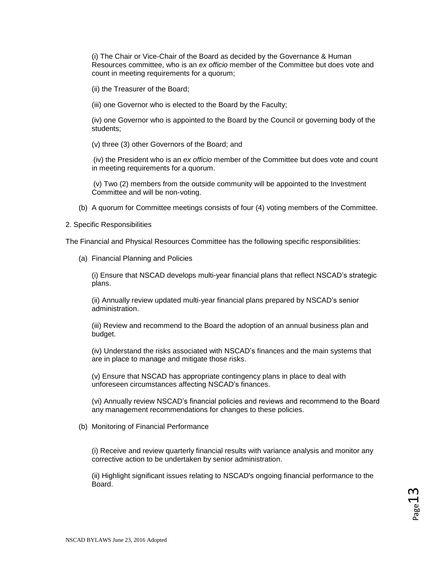(i) The Chair or Vice-Chair of the Board as decided by the Governance & Human Resources committee, who is an *ex officio* member of the Committee but does vote and count in meeting requirements for a quorum;

(ii) the Treasurer of the Board;

(iii) one Governor who is elected to the Board by the Faculty;

(iv) one Governor who is appointed to the Board by the Council or governing body of the students;

(v) three (3) other Governors of the Board; and

(iv) the President who is an *ex officio* member of the Committee but does vote and count in meeting requirements for a quorum.

(v) Two (2) members from the outside community will be appointed to the Investment Committee and will be non-voting.

(b) A quorum for Committee meetings consists of four (4) voting members of the Committee.

### 2. Specific Responsibilities

The Financial and Physical Resources Committee has the following specific responsibilities:

(a) Financial Planning and Policies

(i) Ensure that NSCAD develops multi-year financial plans that reflect NSCAD's strategic plans.

(ii) Annually review updated multi-year financial plans prepared by NSCAD's senior administration.

(iii) Review and recommend to the Board the adoption of an annual business plan and budget.

(iv) Understand the risks associated with NSCAD's finances and the main systems that are in place to manage and mitigate those risks.

(v) Ensure that NSCAD has appropriate contingency plans in place to deal with unforeseen circumstances affecting NSCAD's finances.

(vi) Annually review NSCAD's financial policies and reviews and recommend to the Board any management recommendations for changes to these policies.

(b) Monitoring of Financial Performance

(i) Receive and review quarterly financial results with variance analysis and monitor any corrective action to be undertaken by senior administration.

(ii) Highlight significant issues relating to NSCAD's ongoing financial performance to the Board.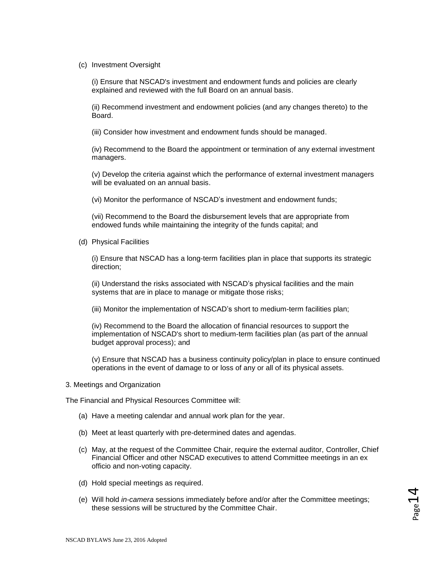### (c) Investment Oversight

(i) Ensure that NSCAD's investment and endowment funds and policies are clearly explained and reviewed with the full Board on an annual basis.

(ii) Recommend investment and endowment policies (and any changes thereto) to the Board.

(iii) Consider how investment and endowment funds should be managed.

(iv) Recommend to the Board the appointment or termination of any external investment managers.

(v) Develop the criteria against which the performance of external investment managers will be evaluated on an annual basis.

(vi) Monitor the performance of NSCAD's investment and endowment funds;

(vii) Recommend to the Board the disbursement levels that are appropriate from endowed funds while maintaining the integrity of the funds capital; and

(d) Physical Facilities

(i) Ensure that NSCAD has a long-term facilities plan in place that supports its strategic direction;

(ii) Understand the risks associated with NSCAD's physical facilities and the main systems that are in place to manage or mitigate those risks;

(iii) Monitor the implementation of NSCAD's short to medium-term facilities plan;

(iv) Recommend to the Board the allocation of financial resources to support the implementation of NSCAD's short to medium-term facilities plan (as part of the annual budget approval process); and

(v) Ensure that NSCAD has a business continuity policy/plan in place to ensure continued operations in the event of damage to or loss of any or all of its physical assets.

### 3. Meetings and Organization

The Financial and Physical Resources Committee will:

- (a) Have a meeting calendar and annual work plan for the year.
- (b) Meet at least quarterly with pre-determined dates and agendas.
- (c) May, at the request of the Committee Chair, require the external auditor, Controller, Chief Financial Officer and other NSCAD executives to attend Committee meetings in an ex officio and non-voting capacity.
- (d) Hold special meetings as required.
- (e) Will hold *in-camera* sessions immediately before and/or after the Committee meetings; these sessions will be structured by the Committee Chair.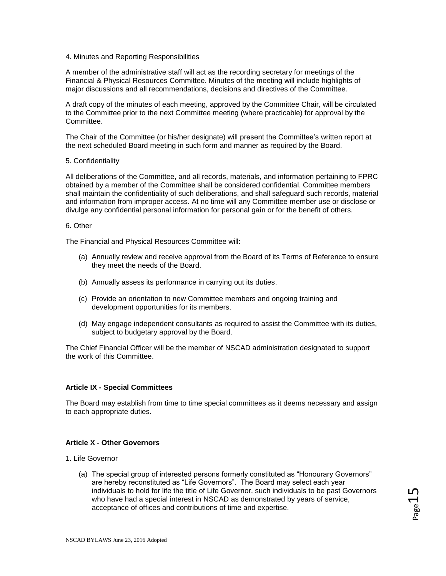### 4. Minutes and Reporting Responsibilities

A member of the administrative staff will act as the recording secretary for meetings of the Financial & Physical Resources Committee. Minutes of the meeting will include highlights of major discussions and all recommendations, decisions and directives of the Committee.

A draft copy of the minutes of each meeting, approved by the Committee Chair, will be circulated to the Committee prior to the next Committee meeting (where practicable) for approval by the Committee.

The Chair of the Committee (or his/her designate) will present the Committee's written report at the next scheduled Board meeting in such form and manner as required by the Board.

### 5. Confidentiality

All deliberations of the Committee, and all records, materials, and information pertaining to FPRC obtained by a member of the Committee shall be considered confidential. Committee members shall maintain the confidentiality of such deliberations, and shall safeguard such records, material and information from improper access. At no time will any Committee member use or disclose or divulge any confidential personal information for personal gain or for the benefit of others.

### 6. Other

The Financial and Physical Resources Committee will:

- (a) Annually review and receive approval from the Board of its Terms of Reference to ensure they meet the needs of the Board.
- (b) Annually assess its performance in carrying out its duties.
- (c) Provide an orientation to new Committee members and ongoing training and development opportunities for its members.
- (d) May engage independent consultants as required to assist the Committee with its duties, subject to budgetary approval by the Board.

The Chief Financial Officer will be the member of NSCAD administration designated to support the work of this Committee.

### **Article IX - Special Committees**

The Board may establish from time to time special committees as it deems necessary and assign to each appropriate duties.

### **Article X - Other Governors**

- 1. Life Governor
	- (a) The special group of interested persons formerly constituted as "Honourary Governors" are hereby reconstituted as "Life Governors". The Board may select each year individuals to hold for life the title of Life Governor, such individuals to be past Governors who have had a special interest in NSCAD as demonstrated by years of service, acceptance of offices and contributions of time and expertise.

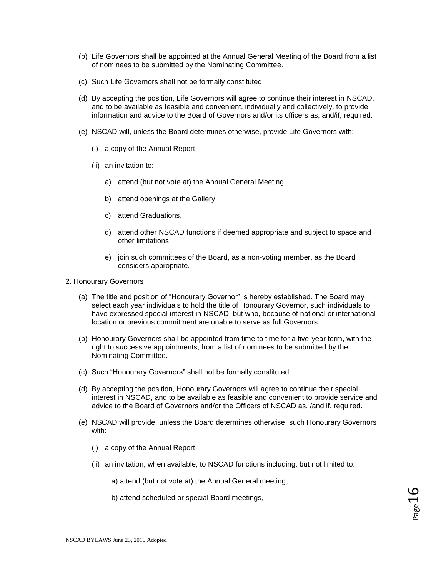- (b) Life Governors shall be appointed at the Annual General Meeting of the Board from a list of nominees to be submitted by the Nominating Committee.
- (c) Such Life Governors shall not be formally constituted.
- (d) By accepting the position, Life Governors will agree to continue their interest in NSCAD, and to be available as feasible and convenient, individually and collectively, to provide information and advice to the Board of Governors and/or its officers as, and/if, required.
- (e) NSCAD will, unless the Board determines otherwise, provide Life Governors with:
	- (i) a copy of the Annual Report.
	- (ii) an invitation to:
		- a) attend (but not vote at) the Annual General Meeting,
		- b) attend openings at the Gallery,
		- c) attend Graduations,
		- d) attend other NSCAD functions if deemed appropriate and subject to space and other limitations,
		- e) join such committees of the Board, as a non-voting member, as the Board considers appropriate.
- 2. Honourary Governors
	- (a) The title and position of "Honourary Governor" is hereby established. The Board may select each year individuals to hold the title of Honourary Governor, such individuals to have expressed special interest in NSCAD, but who, because of national or international location or previous commitment are unable to serve as full Governors.
	- (b) Honourary Governors shall be appointed from time to time for a five-year term, with the right to successive appointments, from a list of nominees to be submitted by the Nominating Committee.
	- (c) Such "Honourary Governors" shall not be formally constituted.
	- (d) By accepting the position, Honourary Governors will agree to continue their special interest in NSCAD, and to be available as feasible and convenient to provide service and advice to the Board of Governors and/or the Officers of NSCAD as, /and if, required.
	- (e) NSCAD will provide, unless the Board determines otherwise, such Honourary Governors with:
		- (i) a copy of the Annual Report.
		- (ii) an invitation, when available, to NSCAD functions including, but not limited to:
			- a) attend (but not vote at) the Annual General meeting,
			- b) attend scheduled or special Board meetings,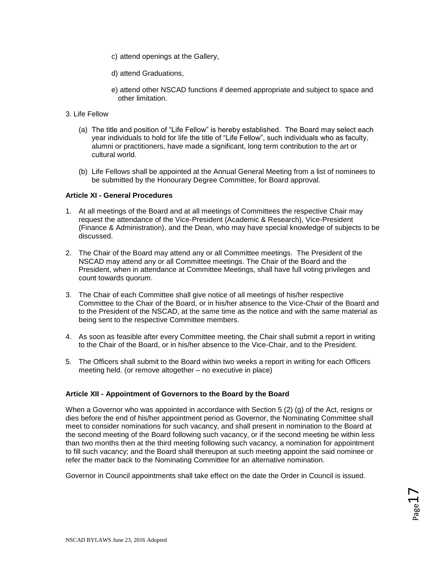- c) attend openings at the Gallery,
- d) attend Graduations,
- e) attend other NSCAD functions if deemed appropriate and subject to space and other limitation.
- 3. Life Fellow
	- (a) The title and position of "Life Fellow" is hereby established. The Board may select each year individuals to hold for life the title of "Life Fellow", such individuals who as faculty, alumni or practitioners, have made a significant, long term contribution to the art or cultural world.
	- (b) Life Fellows shall be appointed at the Annual General Meeting from a list of nominees to be submitted by the Honourary Degree Committee, for Board approval.

# **Article XI - General Procedures**

- 1. At all meetings of the Board and at all meetings of Committees the respective Chair may request the attendance of the Vice-President (Academic & Research), Vice-President (Finance & Administration), and the Dean, who may have special knowledge of subjects to be discussed.
- 2. The Chair of the Board may attend any or all Committee meetings. The President of the NSCAD may attend any or all Committee meetings. The Chair of the Board and the President, when in attendance at Committee Meetings, shall have full voting privileges and count towards quorum.
- 3. The Chair of each Committee shall give notice of all meetings of his/her respective Committee to the Chair of the Board, or in his/her absence to the Vice-Chair of the Board and to the President of the NSCAD, at the same time as the notice and with the same material as being sent to the respective Committee members.
- 4. As soon as feasible after every Committee meeting, the Chair shall submit a report in writing to the Chair of the Board, or in his/her absence to the Vice-Chair, and to the President.
- 5. The Officers shall submit to the Board within two weeks a report in writing for each Officers meeting held. (or remove altogether – no executive in place)

# **Article XII - Appointment of Governors to the Board by the Board**

When a Governor who was appointed in accordance with Section 5 (2) (g) of the Act, resigns or dies before the end of his/her appointment period as Governor, the Nominating Committee shall meet to consider nominations for such vacancy, and shall present in nomination to the Board at the second meeting of the Board following such vacancy, or if the second meeting be within less than two months then at the third meeting following such vacancy, a nomination for appointment to fill such vacancy; and the Board shall thereupon at such meeting appoint the said nominee or refer the matter back to the Nominating Committee for an alternative nomination.

Governor in Council appointments shall take effect on the date the Order in Council is issued.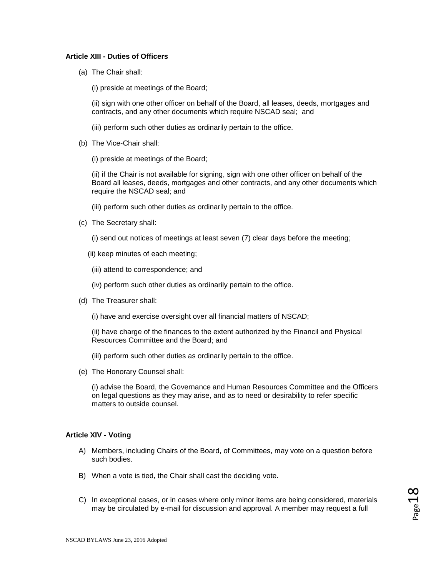## **Article XIII - Duties of Officers**

(a) The Chair shall:

(i) preside at meetings of the Board;

(ii) sign with one other officer on behalf of the Board, all leases, deeds, mortgages and contracts, and any other documents which require NSCAD seal; and

(iii) perform such other duties as ordinarily pertain to the office.

(b) The Vice-Chair shall:

(i) preside at meetings of the Board;

(ii) if the Chair is not available for signing, sign with one other officer on behalf of the Board all leases, deeds, mortgages and other contracts, and any other documents which require the NSCAD seal; and

(iii) perform such other duties as ordinarily pertain to the office.

(c) The Secretary shall:

(i) send out notices of meetings at least seven (7) clear days before the meeting;

- (ii) keep minutes of each meeting;
- (iii) attend to correspondence; and
- (iv) perform such other duties as ordinarily pertain to the office.
- (d) The Treasurer shall:

(i) have and exercise oversight over all financial matters of NSCAD;

(ii) have charge of the finances to the extent authorized by the Financil and Physical Resources Committee and the Board; and

- (iii) perform such other duties as ordinarily pertain to the office.
- (e) The Honorary Counsel shall:

(i) advise the Board, the Governance and Human Resources Committee and the Officers on legal questions as they may arise, and as to need or desirability to refer specific matters to outside counsel.

### **Article XIV - Voting**

- A) Members, including Chairs of the Board, of Committees, may vote on a question before such bodies.
- B) When a vote is tied, the Chair shall cast the deciding vote.
- C) In exceptional cases, or in cases where only minor items are being considered, materials may be circulated by e-mail for discussion and approval. A member may request a full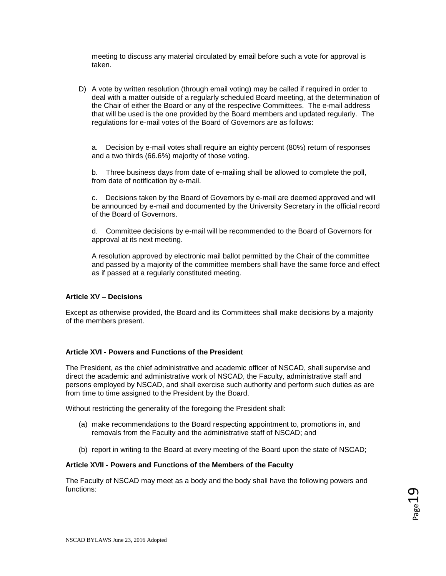meeting to discuss any material circulated by email before such a vote for approval is taken.

D) A vote by written resolution (through email voting) may be called if required in order to deal with a matter outside of a regularly scheduled Board meeting, at the determination of the Chair of either the Board or any of the respective Committees. The e-mail address that will be used is the one provided by the Board members and updated regularly. The regulations for e-mail votes of the Board of Governors are as follows:

a. Decision by e-mail votes shall require an eighty percent (80%) return of responses and a two thirds (66.6%) majority of those voting.

b. Three business days from date of e-mailing shall be allowed to complete the poll, from date of notification by e-mail.

c. Decisions taken by the Board of Governors by e-mail are deemed approved and will be announced by e-mail and documented by the University Secretary in the official record of the Board of Governors.

d. Committee decisions by e-mail will be recommended to the Board of Governors for approval at its next meeting.

A resolution approved by electronic mail ballot permitted by the Chair of the committee and passed by a majority of the committee members shall have the same force and effect as if passed at a regularly constituted meeting.

## **Article XV – Decisions**

Except as otherwise provided, the Board and its Committees shall make decisions by a majority of the members present.

### **Article XVI - Powers and Functions of the President**

The President, as the chief administrative and academic officer of NSCAD, shall supervise and direct the academic and administrative work of NSCAD, the Faculty, administrative staff and persons employed by NSCAD, and shall exercise such authority and perform such duties as are from time to time assigned to the President by the Board.

Without restricting the generality of the foregoing the President shall:

- (a) make recommendations to the Board respecting appointment to, promotions in, and removals from the Faculty and the administrative staff of NSCAD; and
- (b) report in writing to the Board at every meeting of the Board upon the state of NSCAD;

#### **Article XVII - Powers and Functions of the Members of the Faculty**

The Faculty of NSCAD may meet as a body and the body shall have the following powers and functions: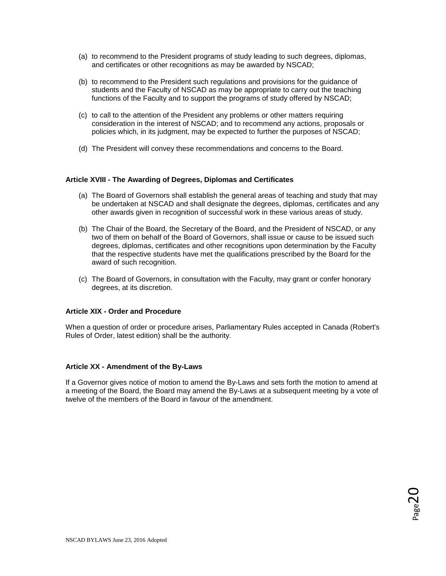- (a) to recommend to the President programs of study leading to such degrees, diplomas, and certificates or other recognitions as may be awarded by NSCAD;
- (b) to recommend to the President such regulations and provisions for the guidance of students and the Faculty of NSCAD as may be appropriate to carry out the teaching functions of the Faculty and to support the programs of study offered by NSCAD;
- (c) to call to the attention of the President any problems or other matters requiring consideration in the interest of NSCAD; and to recommend any actions, proposals or policies which, in its judgment, may be expected to further the purposes of NSCAD;
- (d) The President will convey these recommendations and concerns to the Board.

# **Article XVIII - The Awarding of Degrees, Diplomas and Certificates**

- (a) The Board of Governors shall establish the general areas of teaching and study that may be undertaken at NSCAD and shall designate the degrees, diplomas, certificates and any other awards given in recognition of successful work in these various areas of study.
- (b) The Chair of the Board, the Secretary of the Board, and the President of NSCAD, or any two of them on behalf of the Board of Governors, shall issue or cause to be issued such degrees, diplomas, certificates and other recognitions upon determination by the Faculty that the respective students have met the qualifications prescribed by the Board for the award of such recognition.
- (c) The Board of Governors, in consultation with the Faculty, may grant or confer honorary degrees, at its discretion.

### **Article XIX - Order and Procedure**

When a question of order or procedure arises, Parliamentary Rules accepted in Canada (Robert's Rules of Order, latest edition) shall be the authority.

### **Article XX - Amendment of the By-Laws**

If a Governor gives notice of motion to amend the By-Laws and sets forth the motion to amend at a meeting of the Board, the Board may amend the By-Laws at a subsequent meeting by a vote of twelve of the members of the Board in favour of the amendment.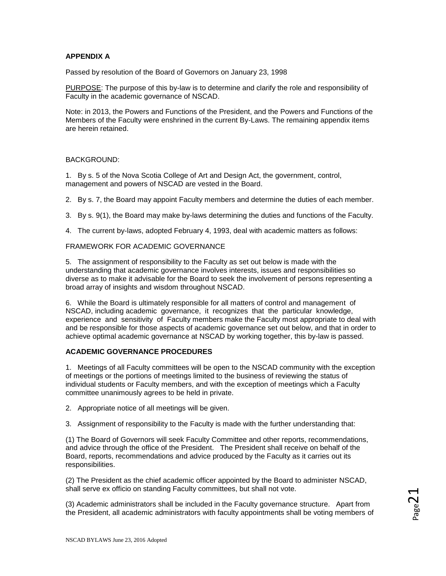# **APPENDIX A**

Passed by resolution of the Board of Governors on January 23, 1998

PURPOSE: The purpose of this by-law is to determine and clarify the role and responsibility of Faculty in the academic governance of NSCAD.

Note: in 2013, the Powers and Functions of the President, and the Powers and Functions of the Members of the Faculty were enshrined in the current By-Laws. The remaining appendix items are herein retained.

# BACKGROUND:

1. By s. 5 of the Nova Scotia College of Art and Design Act, the government, control, management and powers of NSCAD are vested in the Board.

2. By s. 7, the Board may appoint Faculty members and determine the duties of each member.

3. By s. 9(1), the Board may make by-laws determining the duties and functions of the Faculty.

4. The current by-laws, adopted February 4, 1993, deal with academic matters as follows:

### FRAMEWORK FOR ACADEMIC GOVERNANCE

5. The assignment of responsibility to the Faculty as set out below is made with the understanding that academic governance involves interests, issues and responsibilities so diverse as to make it advisable for the Board to seek the involvement of persons representing a broad array of insights and wisdom throughout NSCAD.

6. While the Board is ultimately responsible for all matters of control and management of NSCAD, including academic governance, it recognizes that the particular knowledge, experience and sensitivity of Faculty members make the Faculty most appropriate to deal with and be responsible for those aspects of academic governance set out below, and that in order to achieve optimal academic governance at NSCAD by working together, this by-law is passed.

## **ACADEMIC GOVERNANCE PROCEDURES**

1. Meetings of all Faculty committees will be open to the NSCAD community with the exception of meetings or the portions of meetings limited to the business of reviewing the status of individual students or Faculty members, and with the exception of meetings which a Faculty committee unanimously agrees to be held in private.

2. Appropriate notice of all meetings will be given.

3. Assignment of responsibility to the Faculty is made with the further understanding that:

(1) The Board of Governors will seek Faculty Committee and other reports, recommendations, and advice through the office of the President. The President shall receive on behalf of the Board, reports, recommendations and advice produced by the Faculty as it carries out its responsibilities.

(2) The President as the chief academic officer appointed by the Board to administer NSCAD, shall serve ex officio on standing Faculty committees, but shall not vote.

(3) Academic administrators shall be included in the Faculty governance structure. Apart from the President, all academic administrators with faculty appointments shall be voting members of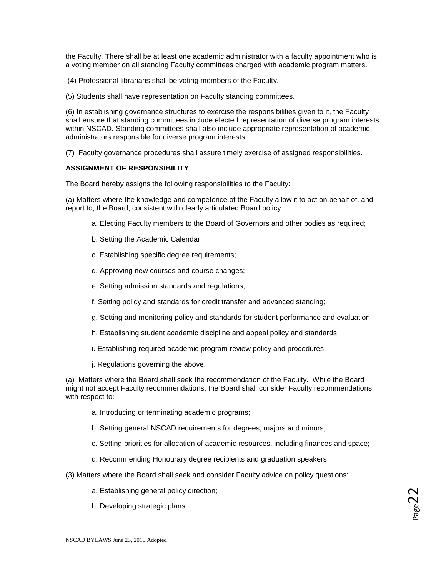the Faculty. There shall be at least one academic administrator with a faculty appointment who is a voting member on all standing Faculty committees charged with academic program matters.

(4) Professional librarians shall be voting members of the Faculty.

(5) Students shall have representation on Faculty standing committees.

(6) In establishing governance structures to exercise the responsibilities given to it, the Faculty shall ensure that standing committees include elected representation of diverse program interests within NSCAD. Standing committees shall also include appropriate representation of academic administrators responsible for diverse program interests.

(7) Faculty governance procedures shall assure timely exercise of assigned responsibilities.

### **ASSIGNMENT OF RESPONSIBILITY**

The Board hereby assigns the following responsibilities to the Faculty:

(a) Matters where the knowledge and competence of the Faculty allow it to act on behalf of, and report to, the Board, consistent with clearly articulated Board policy:

- a. Electing Faculty members to the Board of Governors and other bodies as required;
- b. Setting the Academic Calendar;
- c. Establishing specific degree requirements;
- d. Approving new courses and course changes;
- e. Setting admission standards and regulations;
- f. Setting policy and standards for credit transfer and advanced standing;
- g. Setting and monitoring policy and standards for student performance and evaluation;
- h. Establishing student academic discipline and appeal policy and standards;
- i. Establishing required academic program review policy and procedures;
- j. Regulations governing the above.

(a) Matters where the Board shall seek the recommendation of the Faculty. While the Board might not accept Faculty recommendations, the Board shall consider Faculty recommendations with respect to:

- a. Introducing or terminating academic programs;
- b. Setting general NSCAD requirements for degrees, majors and minors;
- c. Setting priorities for allocation of academic resources, including finances and space;
- d. Recommending Honourary degree recipients and graduation speakers.
- (3) Matters where the Board shall seek and consider Faculty advice on policy questions:
	- a. Establishing general policy direction;
	- b. Developing strategic plans.